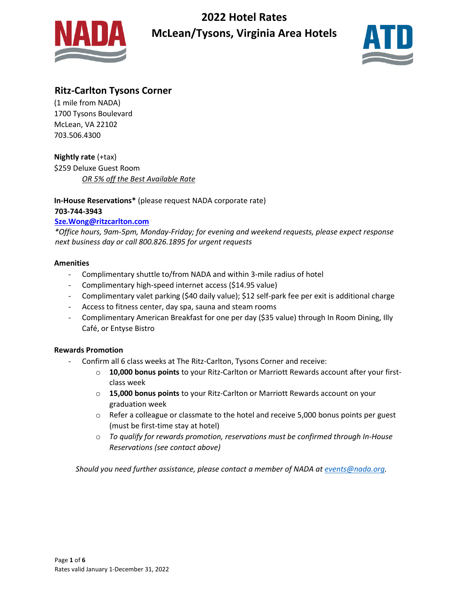



## **Ritz-Carlton Tysons Corner**

(1 mile from NADA) 1700 Tysons Boulevard McLean, VA 22102 703.506.4300

**Nightly rate** (+tax) \$259 Deluxe Guest Room *OR 5% off the Best Available Rate*

**In-House Reservations\*** (please request NADA corporate rate) **703-744-3943**

### **[Sze.Wong@ritzcarlton.com](mailto:Sze.Wong@ritzcarlton.com)**

*\*Office hours, 9am-5pm, Monday-Friday; for evening and weekend requests, please expect response next business day or call 800.826.1895 for urgent requests*

#### **Amenities**

- Complimentary shuttle to/from NADA and within 3-mile radius of hotel
- Complimentary high-speed internet access (\$14.95 value)
- Complimentary valet parking (\$40 daily value); \$12 self-park fee per exit is additional charge
- Access to fitness center, day spa, sauna and steam rooms
- Complimentary American Breakfast for one per day (\$35 value) through In Room Dining, Illy Café, or Entyse Bistro

#### **Rewards Promotion**

- Confirm all 6 class weeks at The Ritz-Carlton, Tysons Corner and receive:
	- o **10,000 bonus points** to your Ritz-Carlton or Marriott Rewards account after your firstclass week
	- o **15,000 bonus points** to your Ritz-Carlton or Marriott Rewards account on your graduation week
	- $\circ$  Refer a colleague or classmate to the hotel and receive 5,000 bonus points per guest (must be first-time stay at hotel)
	- o *To qualify for rewards promotion, reservations must be confirmed through In-House Reservations (see contact above)*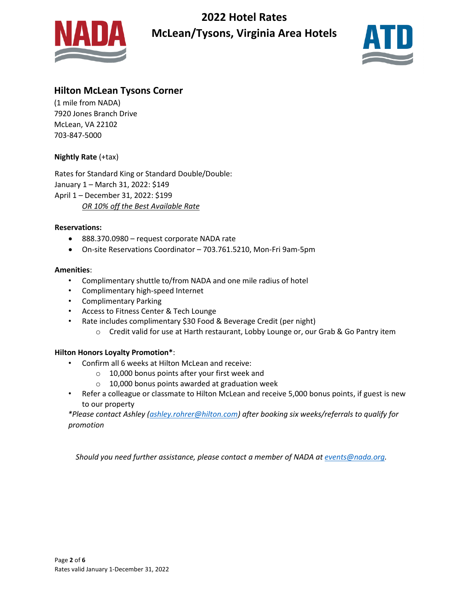



## **Hilton McLean Tysons Corner**

(1 mile from NADA) 7920 Jones Branch Drive McLean, VA 22102 703-847-5000

### **Nightly Rate** (+tax)

Rates for Standard King or Standard Double/Double: January 1 – March 31, 2022: \$149 April 1 – December 31, 2022: \$199 *OR 10% off the Best Available Rate*

#### **Reservations:**

- 888.370.0980 request corporate NADA rate
- On-site Reservations Coordinator 703.761.5210, Mon-Fri 9am-5pm

#### **Amenities**:

- Complimentary shuttle to/from NADA and one mile radius of hotel
- Complimentary high-speed Internet
- Complimentary Parking
- Access to Fitness Center & Tech Lounge
- Rate includes complimentary \$30 Food & Beverage Credit (per night)
	- o Credit valid for use at Harth restaurant, Lobby Lounge or, our Grab & Go Pantry item

#### **Hilton Honors Loyalty Promotion\***:

- Confirm all 6 weeks at Hilton McLean and receive:
	- o 10,000 bonus points after your first week and
	- o 10,000 bonus points awarded at graduation week
- Refer a colleague or classmate to Hilton McLean and receive 5,000 bonus points, if guest is new to our property

*\*Please contact Ashley [\(ashley.rohrer@hilton.com\)](mailto:ashley.rohrer@hilton.com) after booking six weeks/referrals to qualify for promotion*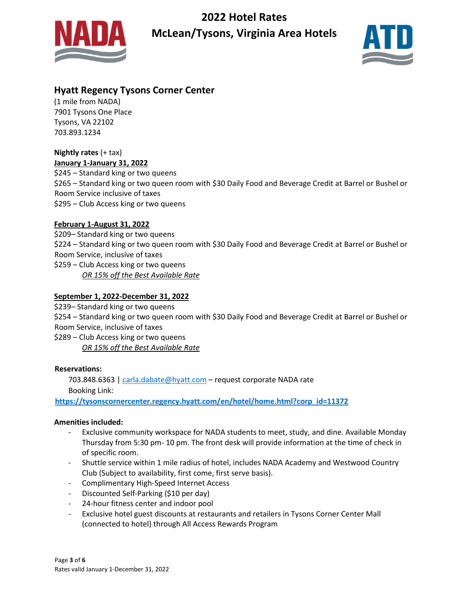



# **Hyatt Regency Tysons Corner Center**

(1 mile from NADA) 7901 Tysons One Place Tysons, VA 22102 703.893.1234

# **Nightly rates** (+ tax)

**January 1-January 31, 2022** \$245 – Standard king or two queens \$265 – Standard king or two queen room with \$30 Daily Food and Beverage Credit at Barrel or Bushel or Room Service inclusive of taxes \$295 – Club Access king or two queens

## **February 1-August 31, 2022**

\$209– Standard king or two queens \$224 – Standard king or two queen room with \$30 Daily Food and Beverage Credit at Barrel or Bushel or Room Service, inclusive of taxes \$259 – Club Access king or two queens *OR 15% off the Best Available Rate*

### **September 1, 2022-December 31, 2022**

\$239– Standard king or two queens

\$254 – Standard king or two queen room with \$30 Daily Food and Beverage Credit at Barrel or Bushel or Room Service, inclusive of taxes

\$289 – Club Access king or two queens *OR 15% off the Best Available Rate*

### **Reservations:**

703.848.6363 | [carla.dabate@hyatt.com](mailto:carla.dabate@hyatt.com) - request corporate NADA rate Booking Link:

**[https://tysonscornercenter.regency.hyatt.com/en/hotel/home.html?corp\\_id=11372](https://tysonscornercenter.regency.hyatt.com/en/hotel/home.html?corp_id=11372)**

### **Amenities included:**

- Exclusive community workspace for NADA students to meet, study, and dine. Available Monday Thursday from 5:30 pm- 10 pm. The front desk will provide information at the time of check in of specific room.
- Shuttle service within 1 mile radius of hotel, includes NADA Academy and Westwood Country Club (Subject to availability, first come, first serve basis).
- Complimentary High-Speed Internet Access
- Discounted Self-Parking (\$10 per day)
- 24-hour fitness center and indoor pool
- Exclusive hotel guest discounts at restaurants and retailers in Tysons Corner Center Mall (connected to hotel) through All Access Rewards Program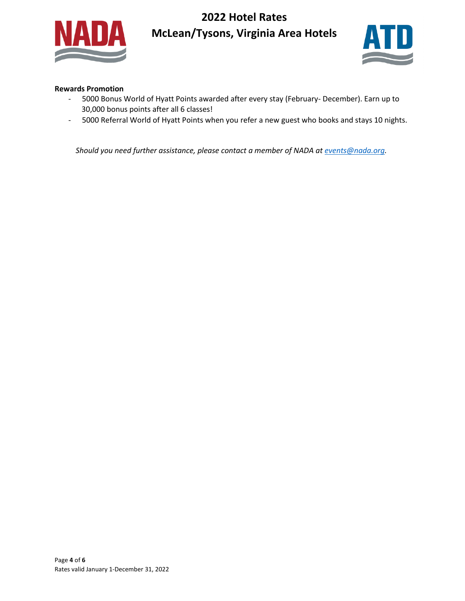



#### **Rewards Promotion**

- 5000 Bonus World of Hyatt Points awarded after every stay (February- December). Earn up to 30,000 bonus points after all 6 classes!
- 5000 Referral World of Hyatt Points when you refer a new guest who books and stays 10 nights.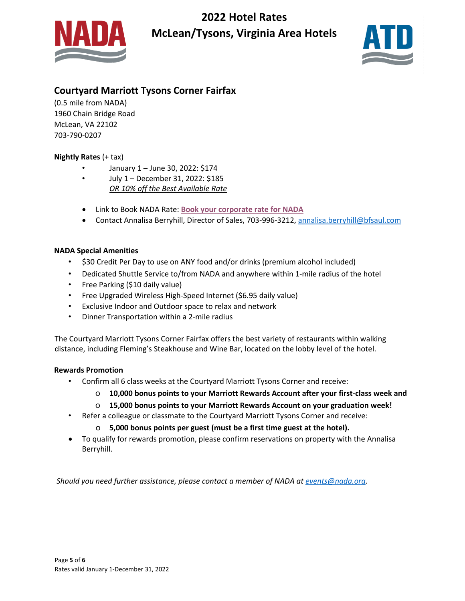



# **Courtyard Marriott Tysons Corner Fairfax**

(0.5 mile from NADA) 1960 Chain Bridge Road McLean, VA 22102 703-790-0207

### **Nightly Rates** (+ tax)

- January 1 June 30, 2022: \$174
- July 1 December 31, 2022: \$185 *OR 10% off the Best Available Rate*
- Link to Book NADA Rate: **[Book your corporate](https://nam02.safelinks.protection.outlook.com/?url=https%3A%2F%2Fprotect-us.mimecast.com%2Fs%2FTgrHCrkML3cAPVLri7T5tk%3Fdomain%3Dmarriott.com&data=04%7C01%7Caobrien%40nada.org%7C9078ddc27c7045fd559708d91afcfbb6%7C76442bc839d34bea86a937582aff2518%7C1%7C0%7C637570496132399744%7CUnknown%7CTWFpbGZsb3d8eyJWIjoiMC4wLjAwMDAiLCJQIjoiV2luMzIiLCJBTiI6Ik1haWwiLCJXVCI6Mn0%3D%7C1000&sdata=BfpIMCPw%2F8Ss6PTbb6DyhGc65jLBWIentOn82O1NHXM%3D&reserved=0) rate for NADA**
- Contact Annalisa Berryhill, Director of Sales, 703-996-3212[, annalisa.berryhill@bfsaul.com](mailto:annalisa.berryhill@bfsaul.com)

### **NADA Special Amenities**

- \$30 Credit Per Day to use on ANY food and/or drinks (premium alcohol included)
- Dedicated Shuttle Service to/from NADA and anywhere within 1-mile radius of the hotel
- Free Parking (\$10 daily value)
- Free Upgraded Wireless High-Speed Internet (\$6.95 daily value)
- Exclusive Indoor and Outdoor space to relax and network
- Dinner Transportation within a 2-mile radius

The Courtyard Marriott Tysons Corner Fairfax offers the best variety of restaurants within walking distance, including Fleming's Steakhouse and Wine Bar, located on the lobby level of the hotel.

#### **Rewards Promotion**

- Confirm all 6 class weeks at the Courtyard Marriott Tysons Corner and receive:
	- o **10,000 bonus points to your Marriott Rewards Account after your first-class week and**
	- o **15,000 bonus points to your Marriott Rewards Account on your graduation week!**
- Refer a colleague or classmate to the Courtyard Marriott Tysons Corner and receive:
	- o **5,000 bonus points per guest (must be a first time guest at the hotel).**
- To qualify for rewards promotion, please confirm reservations on property with the Annalisa Berryhill.